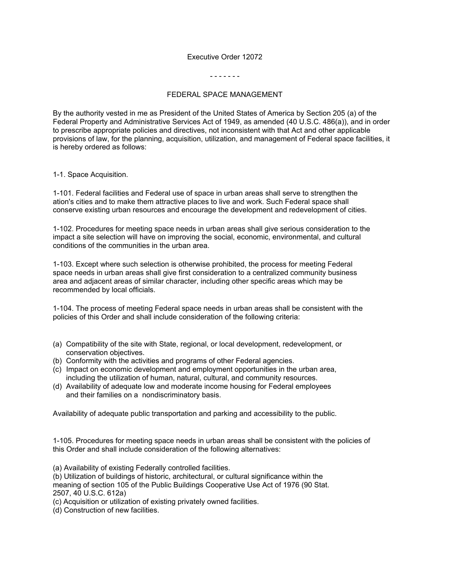## Executive Order 12072

## - - - - - - -

## FEDERAL SPACE MANAGEMENT

By the authority vested in me as President of the United States of America by Section 205 (a) of the Federal Property and Administrative Services Act of 1949, as amended (40 U.S.C. 486(a)), and in order to prescribe appropriate policies and directives, not inconsistent with that Act and other applicable provisions of law, for the planning, acquisition, utilization, and management of Federal space facilities, it is hereby ordered as follows:

## 1-1. Space Acquisition.

1-101. Federal facilities and Federal use of space in urban areas shall serve to strengthen the ation's cities and to make them attractive places to live and work. Such Federal space shall conserve existing urban resources and encourage the development and redevelopment of cities.

1-102. Procedures for meeting space needs in urban areas shall give serious consideration to the impact a site selection will have on improving the social, economic, environmental, and cultural conditions of the communities in the urban area.

1-103. Except where such selection is otherwise prohibited, the process for meeting Federal space needs in urban areas shall give first consideration to a centralized community business area and adjacent areas of similar character, including other specific areas which may be recommended by local officials.

1-104. The process of meeting Federal space needs in urban areas shall be consistent with the policies of this Order and shall include consideration of the following criteria:

- (a) Compatibility of the site with State, regional, or local development, redevelopment, or conservation objectives.
- (b) Conformity with the activities and programs of other Federal agencies.
- (c) Impact on economic development and employment opportunities in the urban area, including the utilization of human, natural, cultural, and community resources.
- (d) Availability of adequate low and moderate income housing for Federal employees and their families on a nondiscriminatory basis.

Availability of adequate public transportation and parking and accessibility to the public.

1-105. Procedures for meeting space needs in urban areas shall be consistent with the policies of this Order and shall include consideration of the following alternatives:

(a) Availability of existing Federally controlled facilities.

(b) Utilization of buildings of historic, architectural, or cultural significance within the meaning of section 105 of the Public Buildings Cooperative Use Act of 1976 (90 Stat. 2507, 40 U.S.C. 612a)

(c) Acquisition or utilization of existing privately owned facilities.

(d) Construction of new facilities.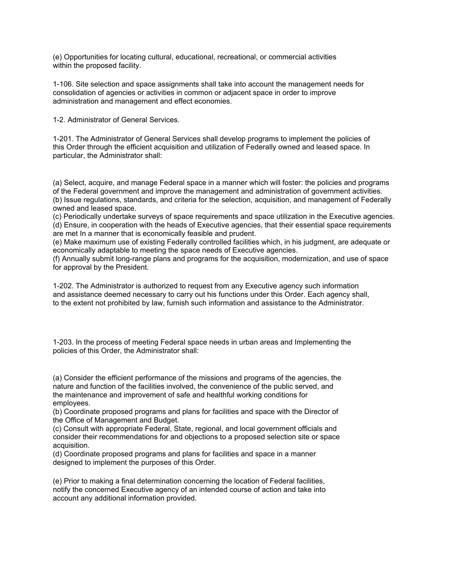(e) Opportunities for locating cultural, educational, recreational, or commercial activities within the proposed facility.

1-106. Site selection and space assignments shall take into account the management needs for consolidation of agencies or activities in common or adjacent space in order to improve administration and management and effect economies.

1-2. Administrator of General Services.

1-201. The Administrator of General Services shall develop programs to implement the policies of this Order through the efficient acquisition and utilization of Federally owned and leased space. In particular, the Administrator shall:

(a) Select, acquire, and manage Federal space in a manner which will foster: the policies and programs of the Federal government and improve the management and administration of government activities. (b) Issue regulations, standards, and criteria for the selection, acquisition, and management of Federally owned and leased space.

(c) Periodically undertake surveys of space requirements and space utilization in the Executive agencies. (d) Ensure, in cooperation with the heads of Executive agencies, that their essential space requirements are met In a manner that is economically feasible and prudent.

(e) Make maximum use of existing Federally controlled facilities which, in his judgment, are adequate or economically adaptable to meeting the space needs of Executive agencies.

(f) Annually submit long-range plans and programs for the acquisition, modernization, and use of space for approval by the President.

1-202. The Administrator is authorized to request from any Executive agency such information and assistance deemed necessary to carry out his functions under this Order. Each agency shall, to the extent not prohibited by law, furnish such information and assistance to the Administrator.

1-203. In the process of meeting Federal space needs in urban areas and Implementing the policies of this Order, the Administrator shall:

(a) Consider the efficient performance of the missions and programs of the agencies, the nature and function of the facilities involved, the convenience of the public served, and the maintenance and improvement of safe and healthful working conditions for employees.

(b) Coordinate proposed programs and plans for facilities and space with the Director of the Office of Management and Budget.

(c) Consult with appropriate Federal, State, regional, and local government officials and consider their recommendations for and objections to a proposed selection site or space acquisition.

(d) Coordinate proposed programs and plans for facilities and space in a manner designed to implement the purposes of this Order.

(e) Prior to making a final determination concerning the location of Federal facilities, notify the concerned Executive agency of an intended course of action and take into account any additional information provided.